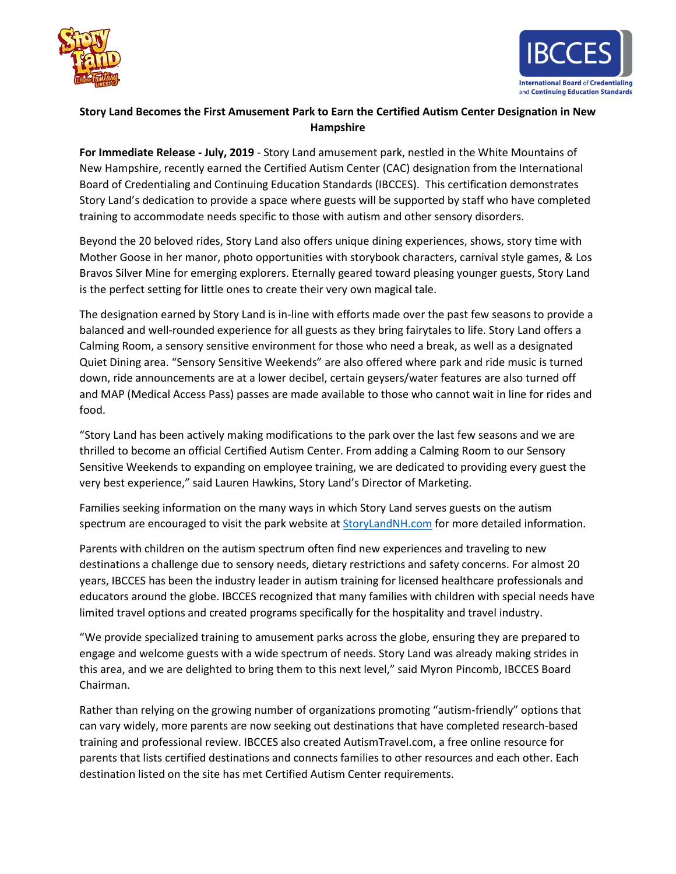



## **Story Land Becomes the First Amusement Park to Earn the Certified Autism Center Designation in New Hampshire**

**For Immediate Release - July, 2019** - Story Land amusement park, nestled in the White Mountains of New Hampshire, recently earned the Certified Autism Center (CAC) designation from the International Board of Credentialing and Continuing Education Standards (IBCCES). This certification demonstrates Story Land's dedication to provide a space where guests will be supported by staff who have completed training to accommodate needs specific to those with autism and other sensory disorders.

Beyond the 20 beloved rides, Story Land also offers unique dining experiences, shows, story time with Mother Goose in her manor, photo opportunities with storybook characters, carnival style games, & Los Bravos Silver Mine for emerging explorers. Eternally geared toward pleasing younger guests, Story Land is the perfect setting for little ones to create their very own magical tale.

The designation earned by Story Land is in-line with efforts made over the past few seasons to provide a balanced and well-rounded experience for all guests as they bring fairytales to life. Story Land offers a Calming Room, a sensory sensitive environment for those who need a break, as well as a designated Quiet Dining area. "Sensory Sensitive Weekends" are also offered where park and ride music is turned down, ride announcements are at a lower decibel, certain geysers/water features are also turned off and MAP (Medical Access Pass) passes are made available to those who cannot wait in line for rides and food.

"Story Land has been actively making modifications to the park over the last few seasons and we are thrilled to become an official Certified Autism Center. From adding a Calming Room to our Sensory Sensitive Weekends to expanding on employee training, we are dedicated to providing every guest the very best experience," said Lauren Hawkins, Story Land's Director of Marketing.

Families seeking information on the many ways in which Story Land serves guests on the autism spectrum are encouraged to visit the park website at **StoryLandNH.com** for more detailed information.

Parents with children on the autism spectrum often find new experiences and traveling to new destinations a challenge due to sensory needs, dietary restrictions and safety concerns. For almost 20 years, IBCCES has been the industry leader in autism training for licensed healthcare professionals and educators around the globe. IBCCES recognized that many families with children with special needs have limited travel options and created programs specifically for the hospitality and travel industry.

"We provide specialized training to amusement parks across the globe, ensuring they are prepared to engage and welcome guests with a wide spectrum of needs. Story Land was already making strides in this area, and we are delighted to bring them to this next level," said Myron Pincomb, IBCCES Board Chairman.

Rather than relying on the growing number of organizations promoting "autism-friendly" options that can vary widely, more parents are now seeking out destinations that have completed research-based training and professional review. IBCCES also created AutismTravel.com, a free online resource for parents that lists certified destinations and connects families to other resources and each other. Each destination listed on the site has met Certified Autism Center requirements.